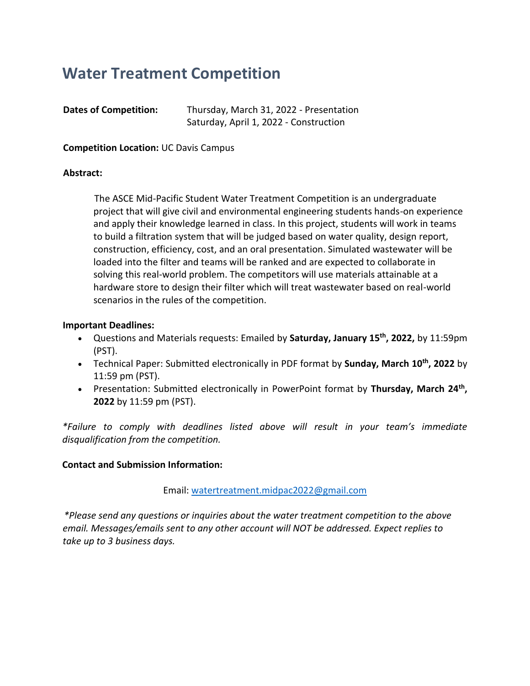# **Water Treatment Competition**

| <b>Dates of Competition:</b> | Thursday, March 31, 2022 - Presentation |  |
|------------------------------|-----------------------------------------|--|
|                              | Saturday, April 1, 2022 - Construction  |  |

**Competition Location:** UC Davis Campus

#### **Abstract:**

The ASCE Mid-Pacific Student Water Treatment Competition is an undergraduate project that will give civil and environmental engineering students hands-on experience and apply their knowledge learned in class. In this project, students will work in teams to build a filtration system that will be judged based on water quality, design report, construction, efficiency, cost, and an oral presentation. Simulated wastewater will be loaded into the filter and teams will be ranked and are expected to collaborate in solving this real-world problem. The competitors will use materials attainable at a hardware store to design their filter which will treat wastewater based on real-world scenarios in the rules of the competition.

#### **Important Deadlines:**

- Questions and Materials requests: Emailed by **Saturday, January 15th , 2022,** by 11:59pm (PST).
- Technical Paper: Submitted electronically in PDF format by **Sunday, March 10th, 2022** by 11:59 pm (PST).
- Presentation: Submitted electronically in PowerPoint format by **Thursday, March 24th , 2022** by 11:59 pm (PST).

*\*Failure to comply with deadlines listed above will result in your team's immediate disqualification from the competition.*

#### **Contact and Submission Information:**

Email: [watertreatment.midpac2022@gmail.com](mailto:watertreatment.midpac2022@gmail.com)

*\*Please send any questions or inquiries about the water treatment competition to the above email. Messages/emails sent to any other account will NOT be addressed. Expect replies to take up to 3 business days.*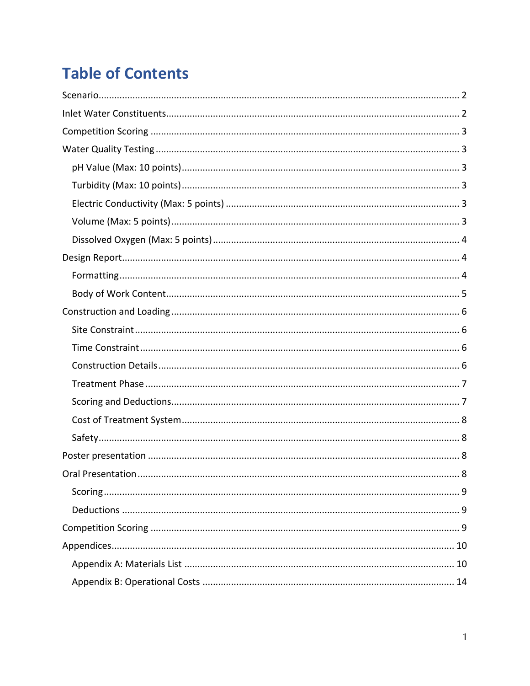# **Table of Contents**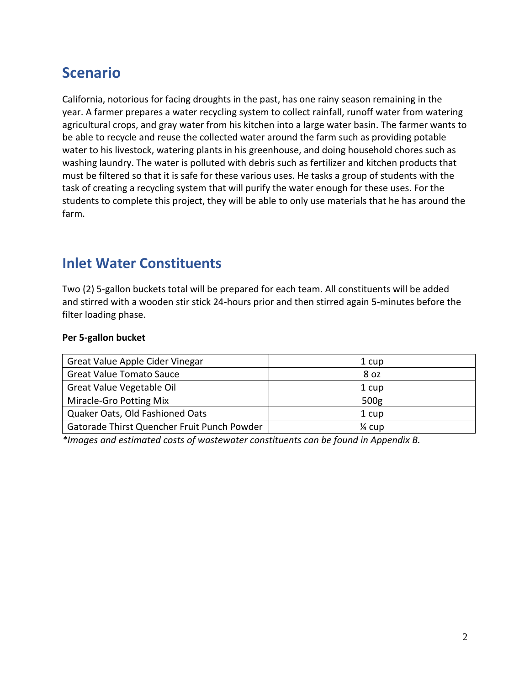## <span id="page-2-0"></span>**Scenario**

California, notorious for facing droughts in the past, has one rainy season remaining in the year. A farmer prepares a water recycling system to collect rainfall, runoff water from watering agricultural crops, and gray water from his kitchen into a large water basin. The farmer wants to be able to recycle and reuse the collected water around the farm such as providing potable water to his livestock, watering plants in his greenhouse, and doing household chores such as washing laundry. The water is polluted with debris such as fertilizer and kitchen products that must be filtered so that it is safe for these various uses. He tasks a group of students with the task of creating a recycling system that will purify the water enough for these uses. For the students to complete this project, they will be able to only use materials that he has around the farm.

### <span id="page-2-1"></span>**Inlet Water Constituents**

Two (2) 5-gallon buckets total will be prepared for each team. All constituents will be added and stirred with a wooden stir stick 24-hours prior and then stirred again 5-minutes before the filter loading phase.

#### **Per 5-gallon bucket**

| Great Value Apple Cider Vinegar             | 1 cup             |
|---------------------------------------------|-------------------|
| <b>Great Value Tomato Sauce</b>             | 8 oz              |
| Great Value Vegetable Oil                   | 1 cup             |
| Miracle-Gro Potting Mix                     | 500g              |
| Quaker Oats, Old Fashioned Oats             | 1 cup             |
| Gatorade Thirst Quencher Fruit Punch Powder | $\frac{1}{4}$ cup |

*\*Images and estimated costs of wastewater constituents can be found in Appendix B.*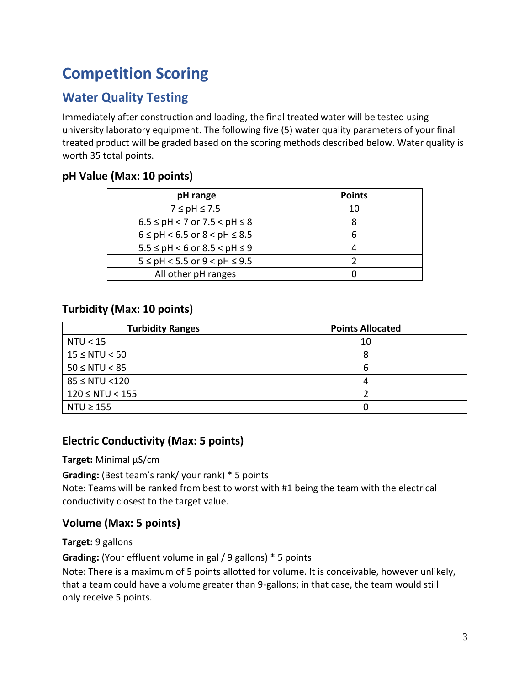# <span id="page-3-0"></span>**Competition Scoring**

### <span id="page-3-1"></span>**Water Quality Testing**

Immediately after construction and loading, the final treated water will be tested using university laboratory equipment. The following five (5) water quality parameters of your final treated product will be graded based on the scoring methods described below. Water quality is worth 35 total points.

#### <span id="page-3-2"></span>**pH Value (Max: 10 points)**

| pH range                             | <b>Points</b> |
|--------------------------------------|---------------|
| $7 \leq pH \leq 7.5$                 | 10            |
| $6.5 \le pH < 7$ or $7.5 < pH \le 8$ |               |
| $6 \le pH < 6.5$ or $8 < pH \le 8.5$ |               |
| $5.5 \le pH < 6$ or $8.5 < pH \le 9$ |               |
| $5 \le pH < 5.5$ or $9 < pH \le 9.5$ |               |
| All other pH ranges                  |               |

### <span id="page-3-3"></span>**Turbidity (Max: 10 points)**

| <b>Turbidity Ranges</b> | <b>Points Allocated</b> |
|-------------------------|-------------------------|
| NTU < 15                | 10                      |
| $15 \leq N T U < 50$    | x                       |
| $50 \le N T U < 85$     | n                       |
| $85 \le NTU < 120$      |                         |
| $120 \le N T U < 155$   |                         |
| $NTU \geq 155$          |                         |

#### <span id="page-3-4"></span>**Electric Conductivity (Max: 5 points)**

**Target:** Minimal µS/cm

**Grading:** (Best team's rank/ your rank) \* 5 points

Note: Teams will be ranked from best to worst with #1 being the team with the electrical conductivity closest to the target value.

#### <span id="page-3-5"></span>**Volume (Max: 5 points)**

**Target:** 9 gallons

**Grading:** (Your effluent volume in gal / 9 gallons) \* 5 points

Note: There is a maximum of 5 points allotted for volume. It is conceivable, however unlikely, that a team could have a volume greater than 9-gallons; in that case, the team would still only receive 5 points.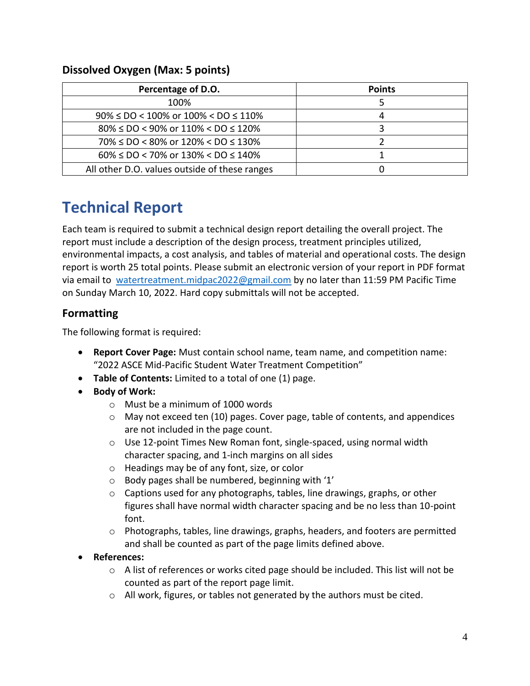| Percentage of D.O.                                | <b>Points</b> |
|---------------------------------------------------|---------------|
| 100%                                              |               |
| $90\% \leq DO < 100\%$ or $100\% < DO \leq 110\%$ |               |
| $80\% \leq DO < 90\%$ or $110\% < DO \leq 120\%$  |               |
| $70\% \leq DO < 80\%$ or $120\% < DO \leq 130\%$  |               |
| $60\% \leq DO < 70\%$ or $130\% < DO \leq 140\%$  |               |
| All other D.O. values outside of these ranges     |               |

#### <span id="page-4-0"></span>**Dissolved Oxygen (Max: 5 points)**

## <span id="page-4-1"></span>**Technical Report**

Each team is required to submit a technical design report detailing the overall project. The report must include a description of the design process, treatment principles utilized, environmental impacts, a cost analysis, and tables of material and operational costs. The design report is worth 25 total points. Please submit an electronic version of your report in PDF format via email to [watertreatment.midpac2022@gmail.com](mailto:watertreatment.midpac2022@gmail.com) by no later than 11:59 PM Pacific Time on Sunday March 10, 2022. Hard copy submittals will not be accepted.

#### <span id="page-4-2"></span>**Formatting**

The following format is required:

- **Report Cover Page:** Must contain school name, team name, and competition name: "2022 ASCE Mid-Pacific Student Water Treatment Competition"
- **Table of Contents:** Limited to a total of one (1) page.
- **Body of Work:**
	- o Must be a minimum of 1000 words
	- $\circ$  May not exceed ten (10) pages. Cover page, table of contents, and appendices are not included in the page count.
	- o Use 12-point Times New Roman font, single-spaced, using normal width character spacing, and 1-inch margins on all sides
	- o Headings may be of any font, size, or color
	- o Body pages shall be numbered, beginning with '1'
	- $\circ$  Captions used for any photographs, tables, line drawings, graphs, or other figures shall have normal width character spacing and be no less than 10-point font.
	- $\circ$  Photographs, tables, line drawings, graphs, headers, and footers are permitted and shall be counted as part of the page limits defined above.
- **References:**
	- $\circ$  A list of references or works cited page should be included. This list will not be counted as part of the report page limit.
	- o All work, figures, or tables not generated by the authors must be cited.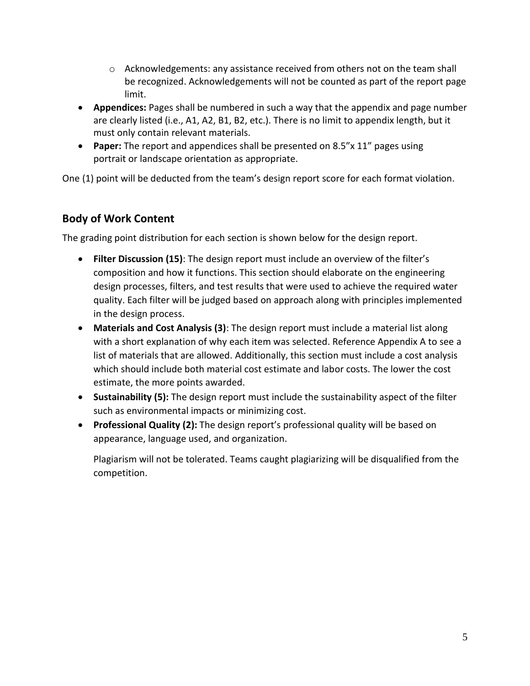- $\circ$  Acknowledgements: any assistance received from others not on the team shall be recognized. Acknowledgements will not be counted as part of the report page limit.
- **Appendices:** Pages shall be numbered in such a way that the appendix and page number are clearly listed (i.e., A1, A2, B1, B2, etc.). There is no limit to appendix length, but it must only contain relevant materials.
- **Paper:** The report and appendices shall be presented on 8.5"x 11" pages using portrait or landscape orientation as appropriate.

One (1) point will be deducted from the team's design report score for each format violation.

#### <span id="page-5-0"></span>**Body of Work Content**

The grading point distribution for each section is shown below for the design report.

- **Filter Discussion (15)**: The design report must include an overview of the filter's composition and how it functions. This section should elaborate on the engineering design processes, filters, and test results that were used to achieve the required water quality. Each filter will be judged based on approach along with principles implemented in the design process.
- **Materials and Cost Analysis (3)**: The design report must include a material list along with a short explanation of why each item was selected. Reference Appendix A to see a list of materials that are allowed. Additionally, this section must include a cost analysis which should include both material cost estimate and labor costs. The lower the cost estimate, the more points awarded.
- **Sustainability (5):** The design report must include the sustainability aspect of the filter such as environmental impacts or minimizing cost.
- **Professional Quality (2):** The design report's professional quality will be based on appearance, language used, and organization.

Plagiarism will not be tolerated. Teams caught plagiarizing will be disqualified from the competition.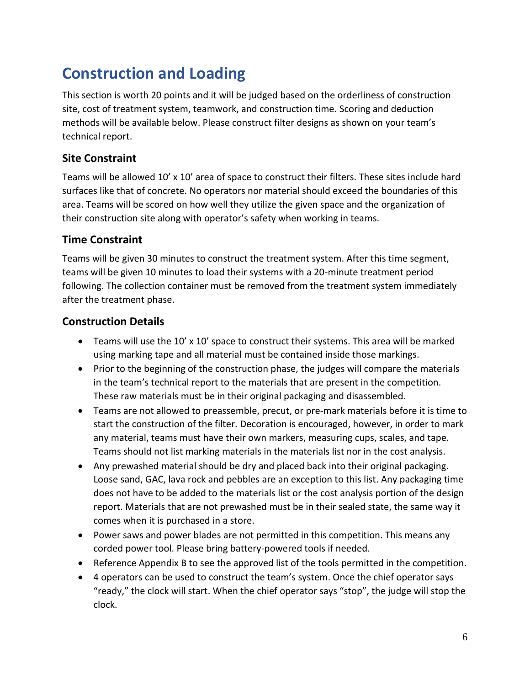# <span id="page-6-0"></span>**Construction and Loading**

This section is worth 20 points and it will be judged based on the orderliness of construction site, cost of treatment system, teamwork, and construction time. Scoring and deduction methods will be available below. Please construct filter designs as shown on your team's technical report.

#### <span id="page-6-1"></span>**Site Constraint**

Teams will be allowed 10' x 10' area of space to construct their filters. These sites include hard surfaces like that of concrete. No operators nor material should exceed the boundaries of this area. Teams will be scored on how well they utilize the given space and the organization of their construction site along with operator's safety when working in teams.

#### <span id="page-6-2"></span>**Time Constraint**

Teams will be given 30 minutes to construct the treatment system. After this time segment, teams will be given 10 minutes to load their systems with a 20-minute treatment period following. The collection container must be removed from the treatment system immediately after the treatment phase.

#### <span id="page-6-3"></span>**Construction Details**

- Teams will use the 10' x 10' space to construct their systems. This area will be marked using marking tape and all material must be contained inside those markings.
- Prior to the beginning of the construction phase, the judges will compare the materials in the team's technical report to the materials that are present in the competition. These raw materials must be in their original packaging and disassembled.
- Teams are not allowed to preassemble, precut, or pre-mark materials before it is time to start the construction of the filter. Decoration is encouraged, however, in order to mark any material, teams must have their own markers, measuring cups, scales, and tape. Teams should not list marking materials in the materials list nor in the cost analysis.
- Any prewashed material should be dry and placed back into their original packaging. Loose sand, GAC, lava rock and pebbles are an exception to this list. Any packaging time does not have to be added to the materials list or the cost analysis portion of the design report. Materials that are not prewashed must be in their sealed state, the same way it comes when it is purchased in a store.
- Power saws and power blades are not permitted in this competition. This means any corded power tool. Please bring battery-powered tools if needed.
- Reference Appendix B to see the approved list of the tools permitted in the competition.
- 4 operators can be used to construct the team's system. Once the chief operator says "ready," the clock will start. When the chief operator says "stop", the judge will stop the clock.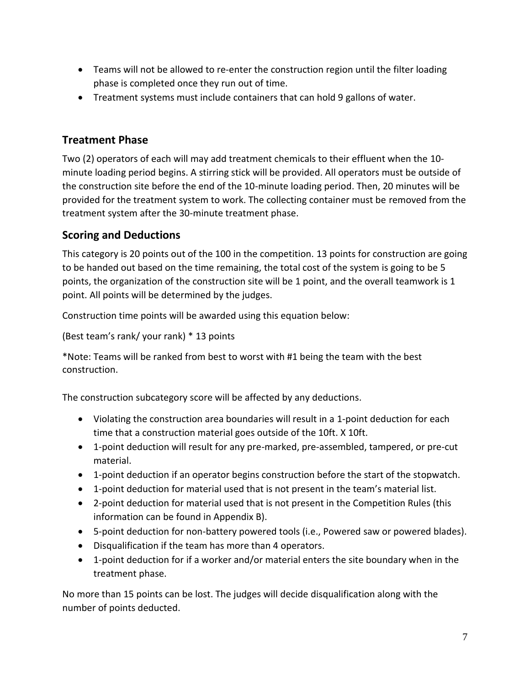- Teams will not be allowed to re-enter the construction region until the filter loading phase is completed once they run out of time.
- Treatment systems must include containers that can hold 9 gallons of water.

#### <span id="page-7-0"></span>**Treatment Phase**

Two (2) operators of each will may add treatment chemicals to their effluent when the 10 minute loading period begins. A stirring stick will be provided. All operators must be outside of the construction site before the end of the 10-minute loading period. Then, 20 minutes will be provided for the treatment system to work. The collecting container must be removed from the treatment system after the 30-minute treatment phase.

### <span id="page-7-1"></span>**Scoring and Deductions**

This category is 20 points out of the 100 in the competition. 13 points for construction are going to be handed out based on the time remaining, the total cost of the system is going to be 5 points, the organization of the construction site will be 1 point, and the overall teamwork is 1 point. All points will be determined by the judges.

Construction time points will be awarded using this equation below:

(Best team's rank/ your rank) \* 13 points

\*Note: Teams will be ranked from best to worst with #1 being the team with the best construction.

The construction subcategory score will be affected by any deductions.

- Violating the construction area boundaries will result in a 1-point deduction for each time that a construction material goes outside of the 10ft. X 10ft.
- 1-point deduction will result for any pre-marked, pre-assembled, tampered, or pre-cut material.
- 1-point deduction if an operator begins construction before the start of the stopwatch.
- 1-point deduction for material used that is not present in the team's material list.
- 2-point deduction for material used that is not present in the Competition Rules (this information can be found in Appendix B).
- 5-point deduction for non-battery powered tools (i.e., Powered saw or powered blades).
- Disqualification if the team has more than 4 operators.
- 1-point deduction for if a worker and/or material enters the site boundary when in the treatment phase.

No more than 15 points can be lost. The judges will decide disqualification along with the number of points deducted.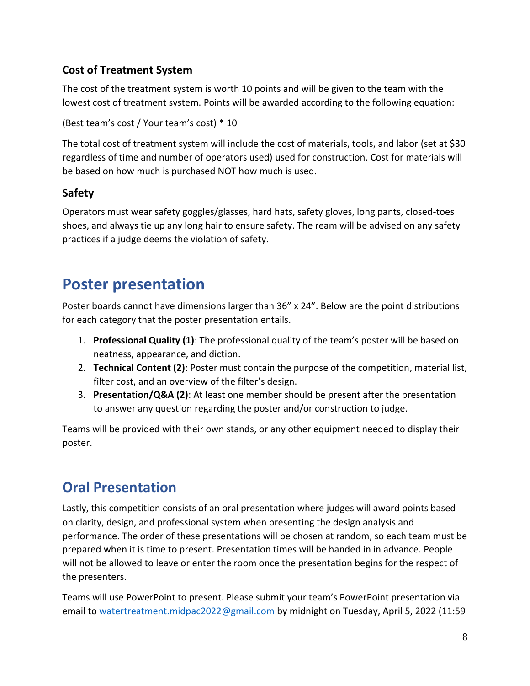### <span id="page-8-0"></span>**Cost of Treatment System**

The cost of the treatment system is worth 10 points and will be given to the team with the lowest cost of treatment system. Points will be awarded according to the following equation:

(Best team's cost / Your team's cost) \* 10

The total cost of treatment system will include the cost of materials, tools, and labor (set at \$30 regardless of time and number of operators used) used for construction. Cost for materials will be based on how much is purchased NOT how much is used.

### <span id="page-8-1"></span>**Safety**

Operators must wear safety goggles/glasses, hard hats, safety gloves, long pants, closed-toes shoes, and always tie up any long hair to ensure safety. The ream will be advised on any safety practices if a judge deems the violation of safety.

## <span id="page-8-2"></span>**Poster presentation**

Poster boards cannot have dimensions larger than 36" x 24". Below are the point distributions for each category that the poster presentation entails.

- 1. **Professional Quality (1)**: The professional quality of the team's poster will be based on neatness, appearance, and diction.
- 2. **Technical Content (2)**: Poster must contain the purpose of the competition, material list, filter cost, and an overview of the filter's design.
- 3. **Presentation/Q&A (2)**: At least one member should be present after the presentation to answer any question regarding the poster and/or construction to judge.

Teams will be provided with their own stands, or any other equipment needed to display their poster.

## <span id="page-8-3"></span>**Oral Presentation**

Lastly, this competition consists of an oral presentation where judges will award points based on clarity, design, and professional system when presenting the design analysis and performance. The order of these presentations will be chosen at random, so each team must be prepared when it is time to present. Presentation times will be handed in in advance. People will not be allowed to leave or enter the room once the presentation begins for the respect of the presenters.

Teams will use PowerPoint to present. Please submit your team's PowerPoint presentation via email to [watertreatment.midpac2022@gmail.com](mailto:watertreatment.midpac2022@gmail.com) by midnight on Tuesday, April 5, 2022 (11:59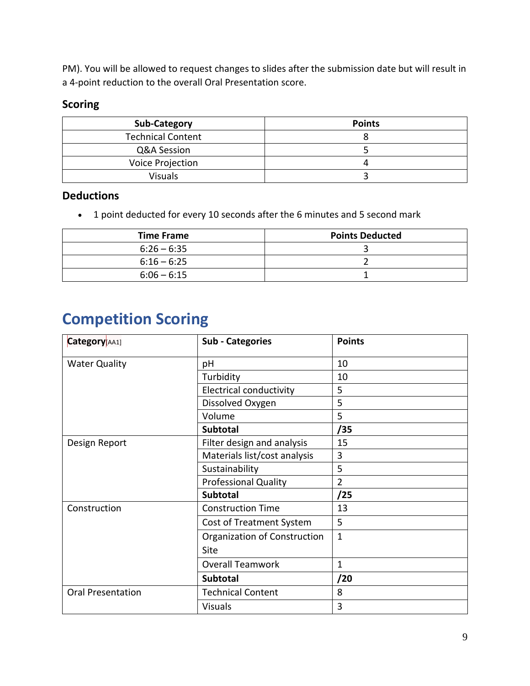PM). You will be allowed to request changes to slides after the submission date but will result in a 4-point reduction to the overall Oral Presentation score.

#### <span id="page-9-0"></span>**Scoring**

| <b>Sub-Category</b>      | <b>Points</b> |
|--------------------------|---------------|
| <b>Technical Content</b> |               |
| Q&A Session              |               |
| Voice Projection         |               |
| <b>Visuals</b>           |               |

#### <span id="page-9-1"></span>**Deductions**

• 1 point deducted for every 10 seconds after the 6 minutes and 5 second mark

| <b>Time Frame</b> | <b>Points Deducted</b> |
|-------------------|------------------------|
| $6:26 - 6:35$     |                        |
| $6:16 - 6:25$     |                        |
| $6:06 - 6:15$     |                        |

# <span id="page-9-2"></span>**Competition Scoring**

| Category[AA1]            | <b>Sub - Categories</b>        | <b>Points</b>  |
|--------------------------|--------------------------------|----------------|
| <b>Water Quality</b>     | рH                             | 10             |
|                          | Turbidity                      | 10             |
|                          | <b>Electrical conductivity</b> | 5              |
|                          | Dissolved Oxygen               | 5              |
|                          | Volume                         | 5              |
|                          | <b>Subtotal</b>                | /35            |
| Design Report            | Filter design and analysis     | 15             |
|                          | Materials list/cost analysis   | 3              |
|                          | Sustainability                 | 5              |
|                          | <b>Professional Quality</b>    | $\overline{2}$ |
|                          | <b>Subtotal</b>                | /25            |
| Construction             | <b>Construction Time</b>       | 13             |
|                          | Cost of Treatment System       | 5              |
|                          | Organization of Construction   | $\mathbf{1}$   |
|                          | Site                           |                |
|                          | <b>Overall Teamwork</b>        | 1              |
|                          | <b>Subtotal</b>                | /20            |
| <b>Oral Presentation</b> | <b>Technical Content</b>       | 8              |
|                          | <b>Visuals</b>                 | 3              |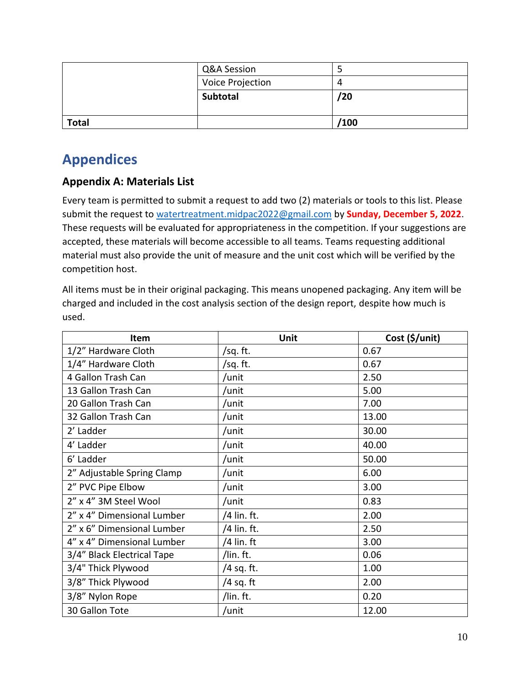|              | Q&A Session      |      |
|--------------|------------------|------|
|              | Voice Projection |      |
|              | Subtotal         | /20  |
|              |                  |      |
| <b>Total</b> |                  | /100 |

## <span id="page-10-0"></span>**Appendices**

### <span id="page-10-1"></span>**Appendix A: Materials List**

Every team is permitted to submit a request to add two (2) materials or tools to this list. Please submit the request to [watertreatment.midpac2022@gmail.com](mailto:watertreatment.midpac2022@gmail.com) by **Sunday, December 5, 2022**. These requests will be evaluated for appropriateness in the competition. If your suggestions are accepted, these materials will become accessible to all teams. Teams requesting additional material must also provide the unit of measure and the unit cost which will be verified by the competition host.

All items must be in their original packaging. This means unopened packaging. Any item will be charged and included in the cost analysis section of the design report, despite how much is used.

| Item                       | Unit         | Cost (\$/unit) |
|----------------------------|--------------|----------------|
| 1/2" Hardware Cloth        | /sq. ft.     | 0.67           |
| 1/4" Hardware Cloth        | /sq. ft.     | 0.67           |
| 4 Gallon Trash Can         | /unit        | 2.50           |
| 13 Gallon Trash Can        | /unit        | 5.00           |
| 20 Gallon Trash Can        | /unit        | 7.00           |
| 32 Gallon Trash Can        | /unit        | 13.00          |
| 2' Ladder                  | /unit        | 30.00          |
| 4' Ladder                  | /unit        | 40.00          |
| 6' Ladder                  | /unit        | 50.00          |
| 2" Adjustable Spring Clamp | /unit        | 6.00           |
| 2" PVC Pipe Elbow          | /unit        | 3.00           |
| 2" x 4" 3M Steel Wool      | /unit        | 0.83           |
| 2" x 4" Dimensional Lumber | /4 lin. ft.  | 2.00           |
| 2" x 6" Dimensional Lumber | /4 lin. ft.  | 2.50           |
| 4" x 4" Dimensional Lumber | $/4$ lin. ft | 3.00           |
| 3/4" Black Electrical Tape | /lin. ft.    | 0.06           |
| 3/4" Thick Plywood         | /4 sq. ft.   | 1.00           |
| 3/8" Thick Plywood         | /4 sq. ft    | 2.00           |
| 3/8" Nylon Rope            | /lin. ft.    | 0.20           |
| 30 Gallon Tote             | /unit        | 12.00          |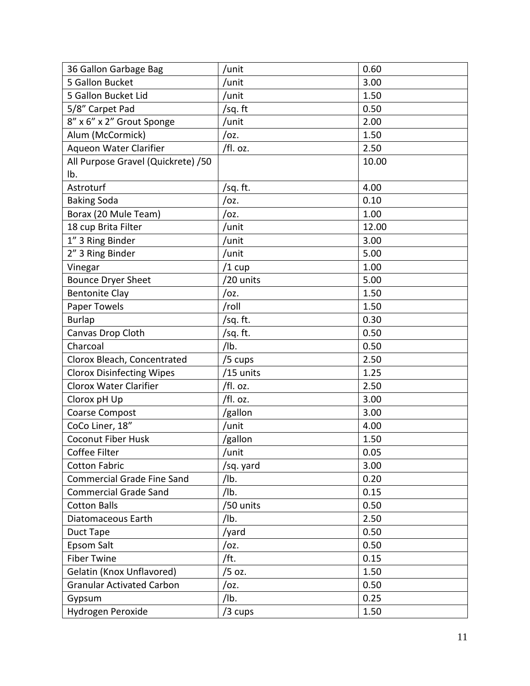| 36 Gallon Garbage Bag              | /unit     | 0.60  |
|------------------------------------|-----------|-------|
| 5 Gallon Bucket                    | /unit     | 3.00  |
| 5 Gallon Bucket Lid                | /unit     | 1.50  |
| 5/8" Carpet Pad                    | /sq. ft   | 0.50  |
| 8" x 6" x 2" Grout Sponge          | /unit     | 2.00  |
| Alum (McCormick)                   | /oz.      | 1.50  |
| Aqueon Water Clarifier             | /fl. oz.  | 2.50  |
| All Purpose Gravel (Quickrete) /50 |           | 10.00 |
| Ib.                                |           |       |
| Astroturf                          | /sq. ft.  | 4.00  |
| <b>Baking Soda</b>                 | /oz.      | 0.10  |
| Borax (20 Mule Team)               | /oz.      | 1.00  |
| 18 cup Brita Filter                | /unit     | 12.00 |
| 1" 3 Ring Binder                   | /unit     | 3.00  |
| 2" 3 Ring Binder                   | /unit     | 5.00  |
| Vinegar                            | $/1$ cup  | 1.00  |
| <b>Bounce Dryer Sheet</b>          | /20 units | 5.00  |
| <b>Bentonite Clay</b>              | /oz.      | 1.50  |
| Paper Towels                       | /roll     | 1.50  |
| <b>Burlap</b>                      | /sq. ft.  | 0.30  |
| Canvas Drop Cloth                  | /sq. ft.  | 0.50  |
| Charcoal                           | /lb.      | 0.50  |
| Clorox Bleach, Concentrated        | /5 cups   | 2.50  |
| <b>Clorox Disinfecting Wipes</b>   | /15 units | 1.25  |
| <b>Clorox Water Clarifier</b>      | /fl. oz.  | 2.50  |
| Clorox pH Up                       | /fl. oz.  | 3.00  |
| Coarse Compost                     | /gallon   | 3.00  |
| CoCo Liner, 18"                    | /unit     | 4.00  |
| <b>Coconut Fiber Husk</b>          | /gallon   | 1.50  |
| Coffee Filter                      | /unit     | 0.05  |
| <b>Cotton Fabric</b>               | /sq. yard | 3.00  |
| <b>Commercial Grade Fine Sand</b>  | /lb.      | 0.20  |
| <b>Commercial Grade Sand</b>       | /lb.      | 0.15  |
| <b>Cotton Balls</b>                | /50 units | 0.50  |
| Diatomaceous Earth                 | /lb.      | 2.50  |
| Duct Tape                          | /yard     | 0.50  |
| Epsom Salt                         | /oz.      | 0.50  |
| <b>Fiber Twine</b>                 | /ft.      | 0.15  |
| Gelatin (Knox Unflavored)          | /5 oz.    | 1.50  |
| <b>Granular Activated Carbon</b>   | /oz.      | 0.50  |
| Gypsum                             | /lb.      | 0.25  |
| Hydrogen Peroxide                  | /3 cups   | 1.50  |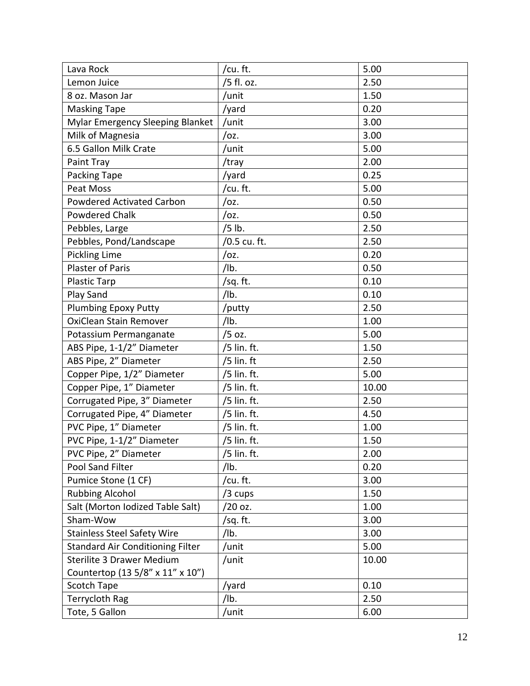| Lava Rock                               | /cu.ft.      | 5.00  |
|-----------------------------------------|--------------|-------|
| Lemon Juice                             | /5 fl. oz.   | 2.50  |
| 8 oz. Mason Jar                         | /unit        | 1.50  |
| <b>Masking Tape</b>                     | /yard        | 0.20  |
| Mylar Emergency Sleeping Blanket        | /unit        | 3.00  |
| Milk of Magnesia                        | /oz.         | 3.00  |
| 6.5 Gallon Milk Crate                   | /unit        | 5.00  |
| Paint Tray                              | /tray        | 2.00  |
| Packing Tape                            | /yard        | 0.25  |
| <b>Peat Moss</b>                        | /cu. ft.     | 5.00  |
| <b>Powdered Activated Carbon</b>        | /oz.         | 0.50  |
| <b>Powdered Chalk</b>                   | /oz.         | 0.50  |
| Pebbles, Large                          | /5 lb.       | 2.50  |
| Pebbles, Pond/Landscape                 | /0.5 cu. ft. | 2.50  |
| <b>Pickling Lime</b>                    | /oz.         | 0.20  |
| <b>Plaster of Paris</b>                 | /lb.         | 0.50  |
| <b>Plastic Tarp</b>                     | /sq. ft.     | 0.10  |
| Play Sand                               | /lb.         | 0.10  |
| <b>Plumbing Epoxy Putty</b>             | putty/       | 2.50  |
| OxiClean Stain Remover                  | /lb.         | 1.00  |
| Potassium Permanganate                  | /5 oz.       | 5.00  |
| ABS Pipe, 1-1/2" Diameter               | /5 lin. ft.  | 1.50  |
| ABS Pipe, 2" Diameter                   | $/5$ lin. ft | 2.50  |
| Copper Pipe, 1/2" Diameter              | /5 lin. ft.  | 5.00  |
| Copper Pipe, 1" Diameter                | /5 lin. ft.  | 10.00 |
| Corrugated Pipe, 3" Diameter            | /5 lin. ft.  | 2.50  |
| Corrugated Pipe, 4" Diameter            | /5 lin. ft.  | 4.50  |
| PVC Pipe, 1" Diameter                   | /5 lin. ft.  | 1.00  |
| PVC Pipe, 1-1/2" Diameter               | /5 lin. ft.  | 1.50  |
| PVC Pipe, 2" Diameter                   | /5 lin. ft.  | 2.00  |
| Pool Sand Filter                        | /lb.         | 0.20  |
| Pumice Stone (1 CF)                     | /cu.ft.      | 3.00  |
| <b>Rubbing Alcohol</b>                  | /3 cups      | 1.50  |
| Salt (Morton Iodized Table Salt)        | /20 oz.      | 1.00  |
| Sham-Wow                                | /sq. ft.     | 3.00  |
| <b>Stainless Steel Safety Wire</b>      | /lb.         | 3.00  |
| <b>Standard Air Conditioning Filter</b> | /unit        | 5.00  |
| Sterilite 3 Drawer Medium               | /unit        | 10.00 |
| Countertop (13 5/8" x 11" x 10")        |              |       |
| Scotch Tape                             | /yard        | 0.10  |
| Terrycloth Rag                          | /lb.         | 2.50  |
| Tote, 5 Gallon                          | /unit        | 6.00  |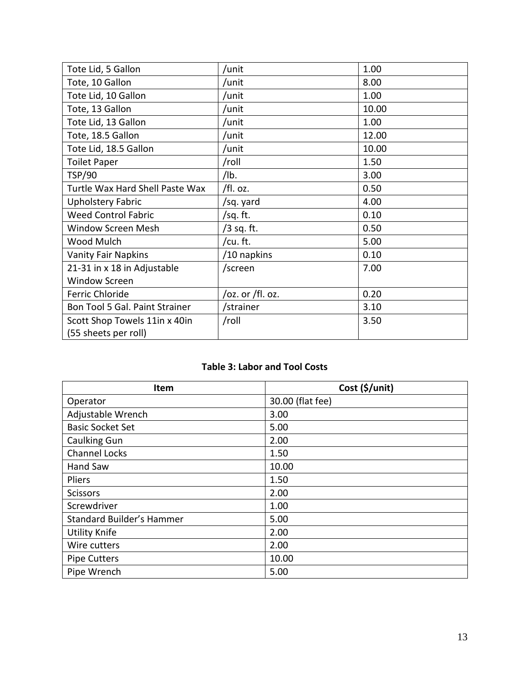| Tote Lid, 5 Gallon              | /unit            | 1.00  |
|---------------------------------|------------------|-------|
| Tote, 10 Gallon                 | /unit            | 8.00  |
| Tote Lid, 10 Gallon             | /unit            | 1.00  |
| Tote, 13 Gallon                 | /unit            | 10.00 |
| Tote Lid, 13 Gallon             | /unit            | 1.00  |
| Tote, 18.5 Gallon               | /unit            | 12.00 |
| Tote Lid, 18.5 Gallon           | /unit            | 10.00 |
| <b>Toilet Paper</b>             | /roll            | 1.50  |
| <b>TSP/90</b>                   | $/$ lb.          | 3.00  |
| Turtle Wax Hard Shell Paste Wax | /fl. oz.         | 0.50  |
| <b>Upholstery Fabric</b>        | /sq. yard        | 4.00  |
| <b>Weed Control Fabric</b>      | /sq. ft.         | 0.10  |
| Window Screen Mesh              | /3 sq. ft.       | 0.50  |
| Wood Mulch                      | /cu.ft.          | 5.00  |
| <b>Vanity Fair Napkins</b>      | /10 napkins      | 0.10  |
| 21-31 in x 18 in Adjustable     | /screen          | 7.00  |
| <b>Window Screen</b>            |                  |       |
| <b>Ferric Chloride</b>          | /oz. or /fl. oz. | 0.20  |
| Bon Tool 5 Gal. Paint Strainer  | /strainer        | 3.10  |
| Scott Shop Towels 11in x 40in   | /roll            | 3.50  |
| (55 sheets per roll)            |                  |       |

#### **Table 3: Labor and Tool Costs**

<span id="page-13-0"></span>

| Item                             | Cost (\$/unit)   |
|----------------------------------|------------------|
| Operator                         | 30.00 (flat fee) |
| Adjustable Wrench                | 3.00             |
| <b>Basic Socket Set</b>          | 5.00             |
| <b>Caulking Gun</b>              | 2.00             |
| <b>Channel Locks</b>             | 1.50             |
| Hand Saw                         | 10.00            |
| Pliers                           | 1.50             |
| <b>Scissors</b>                  | 2.00             |
| Screwdriver                      | 1.00             |
| <b>Standard Builder's Hammer</b> | 5.00             |
| <b>Utility Knife</b>             | 2.00             |
| Wire cutters                     | 2.00             |
| <b>Pipe Cutters</b>              | 10.00            |
| Pipe Wrench                      | 5.00             |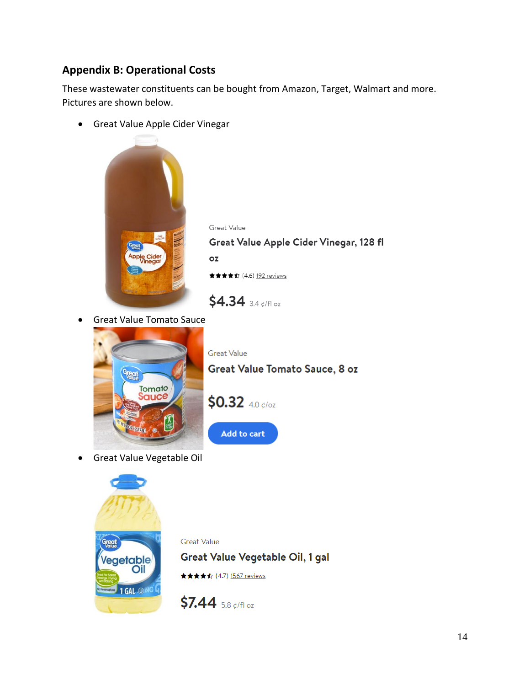### **Appendix B: Operational Costs**

These wastewater constituents can be bought from Amazon, Target, Walmart and more. Pictures are shown below.

• Great Value Apple Cider Vinegar



Great Value Great Value Apple Cider Vinegar, 128 fl  $OZ$ ★★★★☆ (4.6) 192 reviews

• Great Value Tomato Sauce



**Great Value** Great Value Tomato Sauce, 8 oz



Add to cart

\$4.34 3.4 ¢/fl oz

• Great Value Vegetable Oil



**Great Value** Great Value Vegetable Oil, 1 gal ★★★★☆ (4.7) 1567 reviews